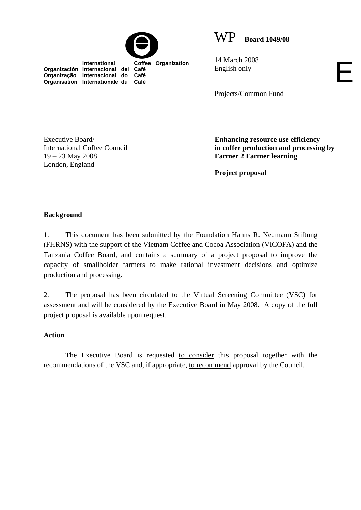

WP **Board 1049/08**

 **International Coffee Organization Organización Internacional del Café Organização Internacional do Café Organisation Internationale du Café**

14 March 2008 English only

Projects/Common Fund

Executive Board/ International Coffee Council 19 – 23 May 2008 London, England

**Enhancing resource use efficiency in coffee production and processing by Farmer 2 Farmer learning** 

E

**Project proposal** 

## **Background**

1. This document has been submitted by the Foundation Hanns R. Neumann Stiftung (FHRNS) with the support of the Vietnam Coffee and Cocoa Association (VICOFA) and the Tanzania Coffee Board, and contains a summary of a project proposal to improve the capacity of smallholder farmers to make rational investment decisions and optimize production and processing.

2. The proposal has been circulated to the Virtual Screening Committee (VSC) for assessment and will be considered by the Executive Board in May 2008. A copy of the full project proposal is available upon request.

## **Action**

The Executive Board is requested to consider this proposal together with the recommendations of the VSC and, if appropriate, to recommend approval by the Council.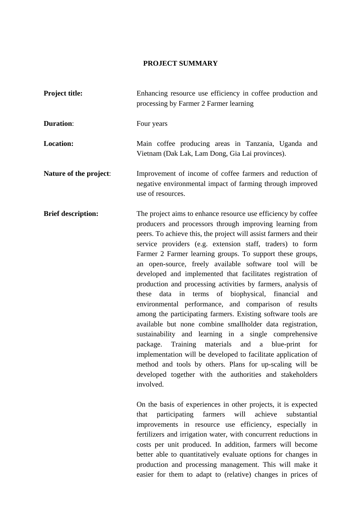## **PROJECT SUMMARY**

| <b>Project title:</b>     | Enhancing resource use efficiency in coffee production and<br>processing by Farmer 2 Farmer learning<br>Four years                                                                                                                                                                                                                                                                                                                                                                                                                                                                                                                                                                                                                                                                                                                                                                                                                                                                                                                                                                     |  |  |
|---------------------------|----------------------------------------------------------------------------------------------------------------------------------------------------------------------------------------------------------------------------------------------------------------------------------------------------------------------------------------------------------------------------------------------------------------------------------------------------------------------------------------------------------------------------------------------------------------------------------------------------------------------------------------------------------------------------------------------------------------------------------------------------------------------------------------------------------------------------------------------------------------------------------------------------------------------------------------------------------------------------------------------------------------------------------------------------------------------------------------|--|--|
| <b>Duration:</b>          |                                                                                                                                                                                                                                                                                                                                                                                                                                                                                                                                                                                                                                                                                                                                                                                                                                                                                                                                                                                                                                                                                        |  |  |
| <b>Location:</b>          | Main coffee producing areas in Tanzania, Uganda and<br>Vietnam (Dak Lak, Lam Dong, Gia Lai provinces).                                                                                                                                                                                                                                                                                                                                                                                                                                                                                                                                                                                                                                                                                                                                                                                                                                                                                                                                                                                 |  |  |
| Nature of the project:    | Improvement of income of coffee farmers and reduction of<br>negative environmental impact of farming through improved<br>use of resources.                                                                                                                                                                                                                                                                                                                                                                                                                                                                                                                                                                                                                                                                                                                                                                                                                                                                                                                                             |  |  |
| <b>Brief description:</b> | The project aims to enhance resource use efficiency by coffee<br>producers and processors through improving learning from<br>peers. To achieve this, the project will assist farmers and their<br>service providers (e.g. extension staff, traders) to form<br>Farmer 2 Farmer learning groups. To support these groups,<br>an open-source, freely available software tool will be<br>developed and implemented that facilitates registration of<br>production and processing activities by farmers, analysis of<br>these data in terms of biophysical, financial<br>and<br>environmental performance, and comparison of results<br>among the participating farmers. Existing software tools are<br>available but none combine smallholder data registration,<br>sustainability and learning in a single comprehensive<br>package. Training materials<br>and a blue-print<br>for<br>implementation will be developed to facilitate application of<br>method and tools by others. Plans for up-scaling will be<br>developed together with the authorities and stakeholders<br>involved. |  |  |
|                           | On the basis of experiences in other projects, it is expected<br>farmers<br>achieve<br>substantial<br>participating<br>will<br>that<br>improvements in resource use efficiency, especially in<br>fertilizers and irrigation water, with concurrent reductions in<br>costs per unit produced. In addition, farmers will become<br>better able to quantitatively evaluate options for changes in                                                                                                                                                                                                                                                                                                                                                                                                                                                                                                                                                                                                                                                                                         |  |  |
|                           |                                                                                                                                                                                                                                                                                                                                                                                                                                                                                                                                                                                                                                                                                                                                                                                                                                                                                                                                                                                                                                                                                        |  |  |

production and processing management. This will make it easier for them to adapt to (relative) changes in prices of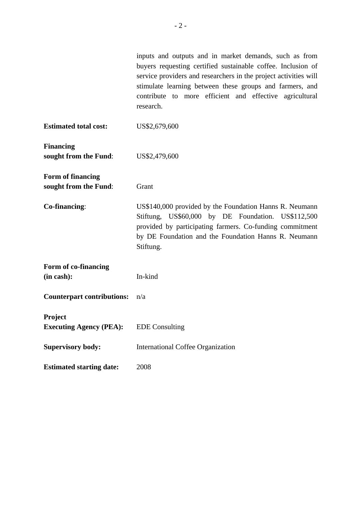|                                            | inputs and outputs and in market demands, such as from<br>buyers requesting certified sustainable coffee. Inclusion of<br>service providers and researchers in the project activities will<br>stimulate learning between these groups and farmers, and<br>contribute to more efficient and effective agricultural<br>research. |  |
|--------------------------------------------|--------------------------------------------------------------------------------------------------------------------------------------------------------------------------------------------------------------------------------------------------------------------------------------------------------------------------------|--|
| <b>Estimated total cost:</b>               | US\$2,679,600                                                                                                                                                                                                                                                                                                                  |  |
| <b>Financing</b><br>sought from the Fund:  | US\$2,479,600                                                                                                                                                                                                                                                                                                                  |  |
| Form of financing<br>sought from the Fund: | Grant                                                                                                                                                                                                                                                                                                                          |  |
| Co-financing:                              | US\$140,000 provided by the Foundation Hanns R. Neumann<br>Stiftung, US\$60,000 by DE Foundation. US\$112,500<br>provided by participating farmers. Co-funding commitment<br>by DE Foundation and the Foundation Hanns R. Neumann<br>Stiftung.                                                                                 |  |
| Form of co-financing                       |                                                                                                                                                                                                                                                                                                                                |  |
| (in cash):                                 | In-kind                                                                                                                                                                                                                                                                                                                        |  |
| <b>Counterpart contributions:</b>          | n/a                                                                                                                                                                                                                                                                                                                            |  |
| Project<br><b>Executing Agency (PEA):</b>  | <b>EDE</b> Consulting                                                                                                                                                                                                                                                                                                          |  |
| <b>Supervisory body:</b>                   | <b>International Coffee Organization</b>                                                                                                                                                                                                                                                                                       |  |
| <b>Estimated starting date:</b>            | 2008                                                                                                                                                                                                                                                                                                                           |  |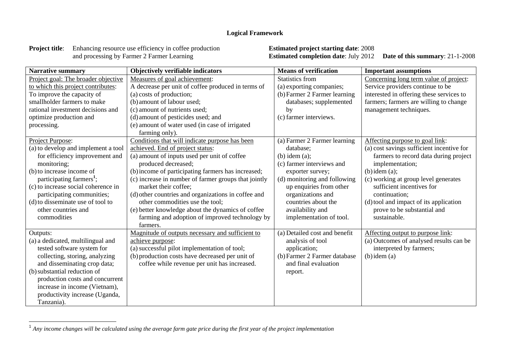## **Logical Framework**

**Project title:** Enhancing resource use efficiency in coffee production **Estimated project starting date**: 2008 and processing by Farmer 2 Farmer Learning **Estimated completion date**: July 2012

**Estimated completion date:** July 2012 Date of this summary: 21-1-2008

| <b>Narrative summary</b>             | Objectively verifiable indicators                    | <b>Means of verification</b>  | <b>Important assumptions</b>              |
|--------------------------------------|------------------------------------------------------|-------------------------------|-------------------------------------------|
| Project goal: The broader objective  | Measures of goal achievement:                        | <b>Statistics from</b>        | Concerning long term value of project:    |
| to which this project contributes:   | A decrease per unit of coffee produced in terms of   | (a) exporting companies;      | Service providers continue to be          |
| To improve the capacity of           | (a) costs of production;                             | (b) Farmer 2 Farmer learning  | interested in offering these services to  |
| smallholder farmers to make          | (b) amount of labour used;                           | databases; supplemented       | farmers; farmers are willing to change    |
| rational investment decisions and    | (c) amount of nutrients used;                        | by                            | management techniques.                    |
| optimize production and              | (d) amount of pesticides used; and                   | (c) farmer interviews.        |                                           |
| processing.                          | (e) amount of water used (in case of irrigated       |                               |                                           |
|                                      | farming only).                                       |                               |                                           |
| Project Purpose:                     | Conditions that will indicate purpose has been       | (a) Farmer 2 Farmer learning  | Affecting purpose to goal link:           |
| (a) to develop and implement a tool  | achieved. End of project status:                     | database:                     | (a) cost savings sufficient incentive for |
| for efficiency improvement and       | (a) amount of inputs used per unit of coffee         | $(b)$ idem $(a)$ ;            | farmers to record data during project     |
| monitoring;                          | produced decreased;                                  | (c) farmer interviews and     | implementation;                           |
| (b) to increase income of            | (b) income of participating farmers has increased;   | exporter survey;              | $(b)$ idem $(a)$ ;                        |
| participating farmers <sup>1</sup> ; | (c) increase in number of farmer groups that jointly | (d) monitoring and following  | (c) working at group level generates      |
| (c) to increase social coherence in  | market their coffee;                                 | up enquiries from other       | sufficient incentives for                 |
| participating communities;           | (d) other countries and organizations in coffee and  | organizations and             | continuation;                             |
| (d) to disseminate use of tool to    | other commodities use the tool;                      | countries about the           | (d) tool and impact of its application    |
| other countries and                  | (e) better knowledge about the dynamics of coffee    | availability and              | prove to be substantial and               |
| commodities                          | farming and adoption of improved technology by       | implementation of tool.       | sustainable.                              |
|                                      | farmers.                                             |                               |                                           |
| Outputs:                             | Magnitude of outputs necessary and sufficient to     | (a) Detailed cost and benefit | Affecting output to purpose link:         |
| (a) a dedicated, multilingual and    | achieve purpose:                                     | analysis of tool              | (a) Outcomes of analysed results can be   |
| tested software system for           | (a) successful pilot implementation of tool;         | application;                  | interpreted by farmers;                   |
| collecting, storing, analyzing       | (b) production costs have decreased per unit of      | (b) Farmer 2 Farmer database  | $(b)$ idem $(a)$                          |
| and disseminating crop data;         | coffee while revenue per unit has increased.         | and final evaluation          |                                           |
| (b) substantial reduction of         |                                                      | report.                       |                                           |
| production costs and concurrent      |                                                      |                               |                                           |
| increase in income (Vietnam),        |                                                      |                               |                                           |
| productivity increase (Uganda,       |                                                      |                               |                                           |
| Tanzania).                           |                                                      |                               |                                           |

<sup>1</sup> *Any income changes will be calculated using the average farm gate price during the first year of the project implementation*